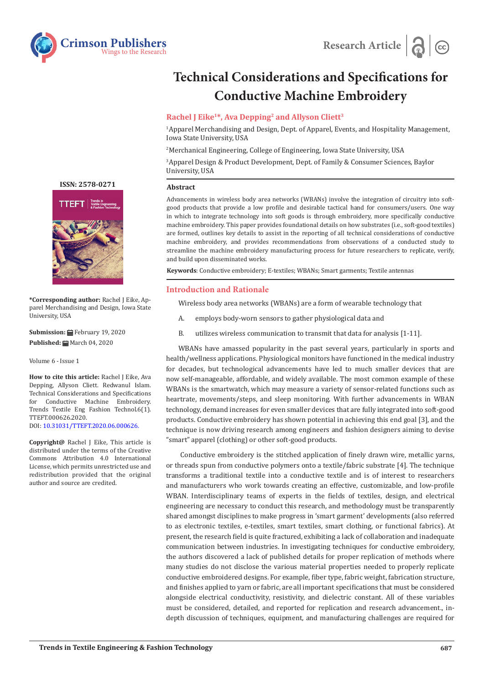



# **Technical Considerations and Specifications for Conductive Machine Embroidery**

# **Rachel J Eike1\*, Ava Depping2 and Allyson Cliett3**

1 Apparel Merchandising and Design, Dept. of Apparel, Events, and Hospitality Management, Iowa State University, USA

2 Merchanical Engineering, College of Engineering, Iowa State University, USA

3 Apparel Design & Product Development, Dept. of Family & Consumer Sciences, Baylor University, USA

### **Abstract**

Advancements in wireless body area networks (WBANs) involve the integration of circuitry into softgood products that provide a low profile and desirable tactical hand for consumers/users. One way in which to integrate technology into soft goods is through embroidery, more specifically conductive machine embroidery. This paper provides foundational details on how substrates (i.e., soft-good textiles) are formed, outlines key details to assist in the reporting of all technical considerations of conductive machine embroidery, and provides recommendations from observations of a conducted study to streamline the machine embroidery manufacturing process for future researchers to replicate, verify, and build upon disseminated works.

**Keywords**: Conductive embroidery; E-textiles; WBANs; Smart garments; Textile antennas

### **Introduction and Rationale**

Wireless body area networks (WBANs) are a form of wearable technology that

- A. employs body-worn sensors to gather physiological data and
- B. utilizes wireless communication to transmit that data for analysis [1-11].

WBANs have amassed popularity in the past several years, particularly in sports and health/wellness applications. Physiological monitors have functioned in the medical industry for decades, but technological advancements have led to much smaller devices that are now self-manageable, affordable, and widely available. The most common example of these WBANs is the smartwatch, which may measure a variety of sensor-related functions such as heartrate, movements/steps, and sleep monitoring. With further advancements in WBAN technology, demand increases for even smaller devices that are fully integrated into soft-good products. Conductive embroidery has shown potential in achieving this end goal [3], and the technique is now driving research among engineers and fashion designers aiming to devise "smart" apparel (clothing) or other soft-good products.

 Conductive embroidery is the stitched application of finely drawn wire, metallic yarns, or threads spun from conductive polymers onto a textile/fabric substrate [4]. The technique transforms a traditional textile into a conductive textile and is of interest to researchers and manufacturers who work towards creating an effective, customizable, and low-profile WBAN. Interdisciplinary teams of experts in the fields of textiles, design, and electrical engineering are necessary to conduct this research, and methodology must be transparently shared amongst disciplines to make progress in 'smart garment' developments (also referred to as electronic textiles, e-textiles, smart textiles, smart clothing, or functional fabrics). At present, the research field is quite fractured, exhibiting a lack of collaboration and inadequate communication between industries. In investigating techniques for conductive embroidery, the authors discovered a lack of published details for proper replication of methods where many studies do not disclose the various material properties needed to properly replicate conductive embroidered designs. For example, fiber type, fabric weight, fabrication structure, and finishes applied to yarn or fabric, are all important specifications that must be considered alongside electrical conductivity, resistivity, and dielectric constant. All of these variables must be considered, detailed, and reported for replication and research advancement., indepth discussion of techniques, equipment, and manufacturing challenges are required for



**[ISSN: 2578-0271](https://crimsonpublishers.com/tteft/)**

**\*Corresponding author:** Rachel J Eike, Apparel Merchandising and Design, Iowa State University, USA

**Submission:** February 19, 2020 Published: **■** March 04, 2020

Volume 6 - Issue 1

**How to cite this article:** Rachel J Eike, Ava Depping, Allyson Cliett. Redwanul Islam. Technical Considerations and Specifications Conductive Machine Trends Textile Eng Fashion Technol.6(1). TTEFT.000626.2020. DOI: [10.31031/TTEFT.2020.06.0006](http://dx.doi.org/10.31031/TTEFT.2020.06.000626)26.

**Copyright@** Rachel J Eike, This article is distributed under the terms of the Creative Commons Attribution 4.0 International License, which permits unrestricted use and redistribution provided that the original

author and source are credited.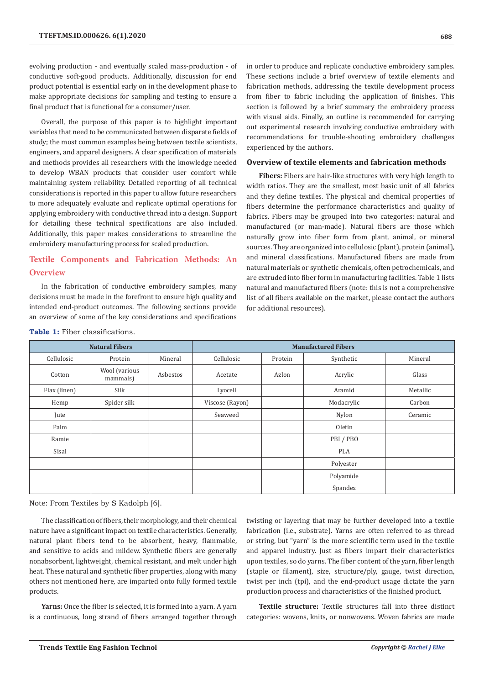evolving production - and eventually scaled mass-production - of conductive soft-good products. Additionally, discussion for end product potential is essential early on in the development phase to make appropriate decisions for sampling and testing to ensure a final product that is functional for a consumer/user.

Overall, the purpose of this paper is to highlight important variables that need to be communicated between disparate fields of study; the most common examples being between textile scientists, engineers, and apparel designers. A clear specification of materials and methods provides all researchers with the knowledge needed to develop WBAN products that consider user comfort while maintaining system reliability. Detailed reporting of all technical considerations is reported in this paper to allow future researchers to more adequately evaluate and replicate optimal operations for applying embroidery with conductive thread into a design. Support for detailing these technical specifications are also included. Additionally, this paper makes considerations to streamline the embroidery manufacturing process for scaled production.

# **Textile Components and Fabrication Methods: An Overview**

In the fabrication of conductive embroidery samples, many decisions must be made in the forefront to ensure high quality and intended end-product outcomes. The following sections provide an overview of some of the key considerations and specifications

in order to produce and replicate conductive embroidery samples. These sections include a brief overview of textile elements and fabrication methods, addressing the textile development process from fiber to fabric including the application of finishes. This section is followed by a brief summary the embroidery process with visual aids. Finally, an outline is recommended for carrying out experimental research involving conductive embroidery with recommendations for trouble-shooting embroidery challenges experienced by the authors.

### **Overview of textile elements and fabrication methods**

**Fibers:** Fibers are hair-like structures with very high length to width ratios. They are the smallest, most basic unit of all fabrics and they define textiles. The physical and chemical properties of fibers determine the performance characteristics and quality of fabrics. Fibers may be grouped into two categories: natural and manufactured (or man-made). Natural fibers are those which naturally grow into fiber form from plant, animal, or mineral sources. They are organized into cellulosic (plant), protein (animal), and mineral classifications. Manufactured fibers are made from natural materials or synthetic chemicals, often petrochemicals, and are extruded into fiber form in manufacturing facilities. Table 1 lists natural and manufactured fibers (note: this is not a comprehensive list of all fibers available on the market, please contact the authors for additional resources).

| <b>Natural Fibers</b> |                           |          | <b>Manufactured Fibers</b> |         |            |          |  |  |
|-----------------------|---------------------------|----------|----------------------------|---------|------------|----------|--|--|
| Cellulosic            | Protein                   | Mineral  | Cellulosic                 | Protein | Synthetic  | Mineral  |  |  |
| Cotton                | Wool (various<br>mammals) | Asbestos | Acetate                    | Azlon   | Acrylic    | Glass    |  |  |
| Flax (linen)          | Silk                      |          | Lyocell                    |         | Aramid     | Metallic |  |  |
| Hemp                  | Spider silk               |          | Viscose (Rayon)            |         | Modacrylic | Carbon   |  |  |
| Jute                  |                           |          | Seaweed                    |         | Nylon      | Ceramic  |  |  |
| Palm                  |                           |          |                            |         | Olefin     |          |  |  |
| Ramie                 |                           |          |                            |         | PBI/PBO    |          |  |  |
| Sisal                 |                           |          |                            |         | <b>PLA</b> |          |  |  |
|                       |                           |          |                            |         | Polyester  |          |  |  |
|                       |                           |          |                            |         | Polyamide  |          |  |  |
|                       |                           |          |                            |         | Spandex    |          |  |  |

### **Table 1:** Fiber classifications.

Note: From Textiles by S Kadolph [6].

The classification of fibers, their morphology, and their chemical nature have a significant impact on textile characteristics. Generally, natural plant fibers tend to be absorbent, heavy, flammable, and sensitive to acids and mildew. Synthetic fibers are generally nonabsorbent, lightweight, chemical resistant, and melt under high heat. These natural and synthetic fiber properties, along with many others not mentioned here, are imparted onto fully formed textile products.

**Yarns:** Once the fiber is selected, it is formed into a yarn. A yarn is a continuous, long strand of fibers arranged together through twisting or layering that may be further developed into a textile fabrication (i.e., substrate). Yarns are often referred to as thread or string, but "yarn" is the more scientific term used in the textile and apparel industry. Just as fibers impart their characteristics upon textiles, so do yarns. The fiber content of the yarn, fiber length (staple or filament), size, structure/ply, gauge, twist direction, twist per inch (tpi), and the end-product usage dictate the yarn production process and characteristics of the finished product.

**Textile structure:** Textile structures fall into three distinct categories: wovens, knits, or nonwovens. Woven fabrics are made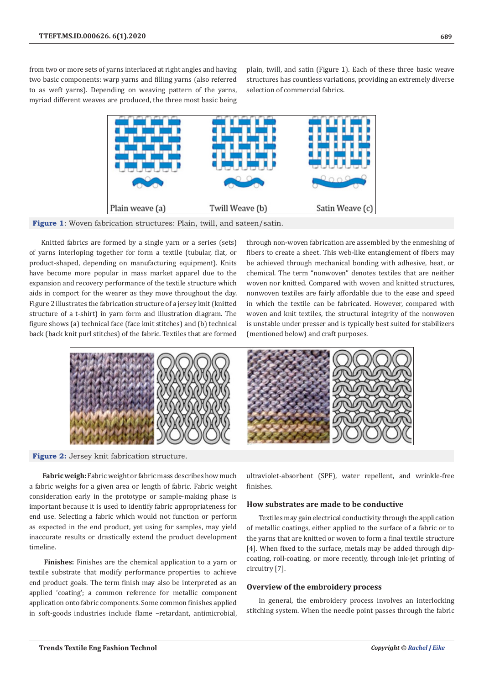from two or more sets of yarns interlaced at right angles and having two basic components: warp yarns and filling yarns (also referred to as weft yarns). Depending on weaving pattern of the yarns, myriad different weaves are produced, the three most basic being plain, twill, and satin (Figure 1). Each of these three basic weave structures has countless variations, providing an extremely diverse selection of commercial fabrics.



Figure 1: Woven fabrication structures: Plain, twill, and sateen/satin.

Knitted fabrics are formed by a single yarn or a series (sets) of yarns interloping together for form a textile (tubular, flat, or product-shaped, depending on manufacturing equipment). Knits have become more popular in mass market apparel due to the expansion and recovery performance of the textile structure which aids in comport for the wearer as they move throughout the day. Figure 2 illustrates the fabrication structure of a jersey knit (knitted structure of a t-shirt) in yarn form and illustration diagram. The figure shows (a) technical face (face knit stitches) and (b) technical back (back knit purl stitches) of the fabric. Textiles that are formed

through non-woven fabrication are assembled by the enmeshing of fibers to create a sheet. This web-like entanglement of fibers may be achieved through mechanical bonding with adhesive, heat, or chemical. The term "nonwoven" denotes textiles that are neither woven nor knitted. Compared with woven and knitted structures, nonwoven textiles are fairly affordable due to the ease and speed in which the textile can be fabricated. However, compared with woven and knit textiles, the structural integrity of the nonwoven is unstable under presser and is typically best suited for stabilizers (mentioned below) and craft purposes.



**Figure 2:** Jersey knit fabrication structure.

**Fabric weigh:** Fabric weight or fabric mass describes how much a fabric weighs for a given area or length of fabric. Fabric weight consideration early in the prototype or sample-making phase is important because it is used to identify fabric appropriateness for end use. Selecting a fabric which would not function or perform as expected in the end product, yet using for samples, may yield inaccurate results or drastically extend the product development timeline.

**Finishes:** Finishes are the chemical application to a yarn or textile substrate that modify performance properties to achieve end product goals. The term finish may also be interpreted as an applied 'coating'; a common reference for metallic component application onto fabric components. Some common finishes applied in soft-goods industries include flame –retardant, antimicrobial,

ultraviolet-absorbent (SPF), water repellent, and wrinkle-free finishes.

### **How substrates are made to be conductive**

Textiles may gain electrical conductivity through the application of metallic coatings, either applied to the surface of a fabric or to the yarns that are knitted or woven to form a final textile structure [4]. When fixed to the surface, metals may be added through dipcoating, roll-coating, or more recently, through ink-jet printing of circuitry [7].

### **Overview of the embroidery process**

In general, the embroidery process involves an interlocking stitching system. When the needle point passes through the fabric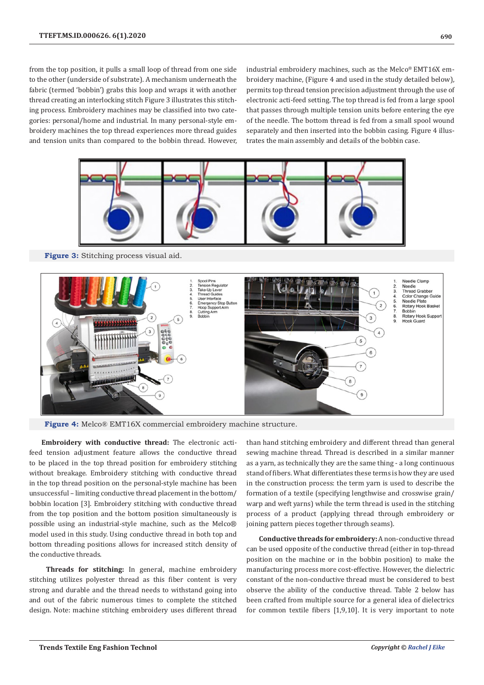from the top position, it pulls a small loop of thread from one side to the other (underside of substrate). A mechanism underneath the fabric (termed 'bobbin') grabs this loop and wraps it with another thread creating an interlocking stitch Figure 3 illustrates this stitching process. Embroidery machines may be classified into two categories: personal/home and industrial. In many personal-style embroidery machines the top thread experiences more thread guides and tension units than compared to the bobbin thread. However, industrial embroidery machines, such as the Melco® EMT16X embroidery machine, (Figure 4 and used in the study detailed below), permits top thread tension precision adjustment through the use of electronic acti-feed setting. The top thread is fed from a large spool that passes through multiple tension units before entering the eye of the needle. The bottom thread is fed from a small spool wound separately and then inserted into the bobbin casing. Figure 4 illustrates the main assembly and details of the bobbin case.



**Figure 3:** Stitching process visual aid.



**Figure 4:** Melco® EMT16X commercial embroidery machine structure.

**Embroidery with conductive thread:** The electronic actifeed tension adjustment feature allows the conductive thread to be placed in the top thread position for embroidery stitching without breakage. Embroidery stitching with conductive thread in the top thread position on the personal-style machine has been unsuccessful – limiting conductive thread placement in the bottom/ bobbin location [3]. Embroidery stitching with conductive thread from the top position and the bottom position simultaneously is possible using an industrial-style machine, such as the Melco® model used in this study. Using conductive thread in both top and bottom threading positions allows for increased stitch density of the conductive threads.

**Threads for stitching:** In general, machine embroidery stitching utilizes polyester thread as this fiber content is very strong and durable and the thread needs to withstand going into and out of the fabric numerous times to complete the stitched design. Note: machine stitching embroidery uses different thread than hand stitching embroidery and different thread than general sewing machine thread. Thread is described in a similar manner as a yarn, as technically they are the same thing - a long continuous stand of fibers. What differentiates these terms is how they are used in the construction process: the term yarn is used to describe the formation of a textile (specifying lengthwise and crosswise grain/ warp and weft yarns) while the term thread is used in the stitching process of a product (applying thread through embroidery or joining pattern pieces together through seams).

**Conductive threads for embroidery:** A non-conductive thread can be used opposite of the conductive thread (either in top-thread position on the machine or in the bobbin position) to make the manufacturing process more cost-effective. However, the dielectric constant of the non-conductive thread must be considered to best observe the ability of the conductive thread. Table 2 below has been crafted from multiple source for a general idea of dielectrics for common textile fibers [1,9,10]. It is very important to note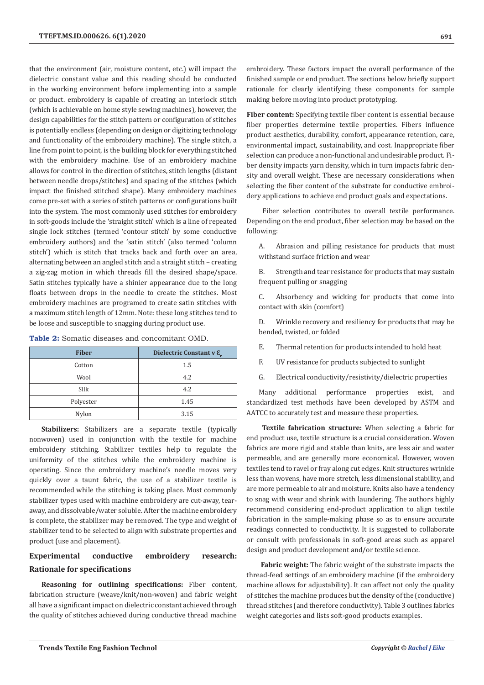that the environment (air, moisture content, etc.) will impact the dielectric constant value and this reading should be conducted in the working environment before implementing into a sample or product. embroidery is capable of creating an interlock stitch (which is achievable on home style sewing machines), however, the design capabilities for the stitch pattern or configuration of stitches is potentially endless (depending on design or digitizing technology and functionality of the embroidery machine). The single stitch, a line from point to point, is the building block for everything stitched with the embroidery machine. Use of an embroidery machine allows for control in the direction of stitches, stitch lengths (distant between needle drops/stitches) and spacing of the stitches (which impact the finished stitched shape). Many embroidery machines come pre-set with a series of stitch patterns or configurations built into the system. The most commonly used stitches for embroidery in soft-goods include the 'straight stitch' which is a line of repeated single lock stitches (termed 'contour stitch' by some conductive embroidery authors) and the 'satin stitch' (also termed 'column stitch') which is stitch that tracks back and forth over an area, alternating between an angled stitch and a straight stitch – creating a zig-zag motion in which threads fill the desired shape/space. Satin stitches typically have a shinier appearance due to the long floats between drops in the needle to create the stitches. Most embroidery machines are programed to create satin stitches with a maximum stitch length of 12mm. Note: these long stitches tend to be loose and susceptible to snagging during product use.

|  |  | <b>Table 2:</b> Somatic diseases and concomitant OMD. |  |
|--|--|-------------------------------------------------------|--|
|--|--|-------------------------------------------------------|--|

| <b>Fiber</b> | Dielectric Constant v ε. |  |  |  |  |
|--------------|--------------------------|--|--|--|--|
| Cotton       | 1.5                      |  |  |  |  |
| Wool         | 4.2                      |  |  |  |  |
| Silk         | 4.2                      |  |  |  |  |
| Polyester    | 1.45                     |  |  |  |  |
| Nylon        | 3.15                     |  |  |  |  |

**Stabilizers:** Stabilizers are a separate textile (typically nonwoven) used in conjunction with the textile for machine embroidery stitching. Stabilizer textiles help to regulate the uniformity of the stitches while the embroidery machine is operating. Since the embroidery machine's needle moves very quickly over a taunt fabric, the use of a stabilizer textile is recommended while the stitching is taking place. Most commonly stabilizer types used with machine embroidery are cut-away, tearaway, and dissolvable/water soluble. After the machine embroidery is complete, the stabilizer may be removed. The type and weight of stabilizer tend to be selected to align with substrate properties and product (use and placement).

# **Experimental conductive embroidery research: Rationale for specifications**

**Reasoning for outlining specifications:** Fiber content, fabrication structure (weave/knit/non-woven) and fabric weight all have a significant impact on dielectric constant achieved through the quality of stitches achieved during conductive thread machine embroidery. These factors impact the overall performance of the finished sample or end product. The sections below briefly support rationale for clearly identifying these components for sample making before moving into product prototyping.

**Fiber content:** Specifying textile fiber content is essential because fiber properties determine textile properties. Fibers influence product aesthetics, durability, comfort, appearance retention, care, environmental impact, sustainability, and cost. Inappropriate fiber selection can produce a non-functional and undesirable product. Fiber density impacts yarn density, which in turn impacts fabric density and overall weight. These are necessary considerations when selecting the fiber content of the substrate for conductive embroidery applications to achieve end product goals and expectations.

 Fiber selection contributes to overall textile performance. Depending on the end product, fiber selection may be based on the following:

A. Abrasion and pilling resistance for products that must withstand surface friction and wear

B. Strength and tear resistance for products that may sustain frequent pulling or snagging

C. Absorbency and wicking for products that come into contact with skin (comfort)

D. Wrinkle recovery and resiliency for products that may be bended, twisted, or folded

E. Thermal retention for products intended to hold heat

- F. UV resistance for products subjected to sunlight
- G. Electrical conductivity/resistivity/dielectric properties

Many additional performance properties exist, and standardized test methods have been developed by ASTM and AATCC to accurately test and measure these properties.

**Textile fabrication structure:** When selecting a fabric for end product use, textile structure is a crucial consideration. Woven fabrics are more rigid and stable than knits, are less air and water permeable, and are generally more economical. However, woven textiles tend to ravel or fray along cut edges. Knit structures wrinkle less than wovens, have more stretch, less dimensional stability, and are more permeable to air and moisture. Knits also have a tendency to snag with wear and shrink with laundering. The authors highly recommend considering end-product application to align textile fabrication in the sample-making phase so as to ensure accurate readings connected to conductivity. It is suggested to collaborate or consult with professionals in soft-good areas such as apparel design and product development and/or textile science.

**Fabric weight:** The fabric weight of the substrate impacts the thread-feed settings of an embroidery machine (if the embroidery machine allows for adjustability). It can affect not only the quality of stitches the machine produces but the density of the (conductive) thread stitches (and therefore conductivity). Table 3 outlines fabrics weight categories and lists soft-good products examples.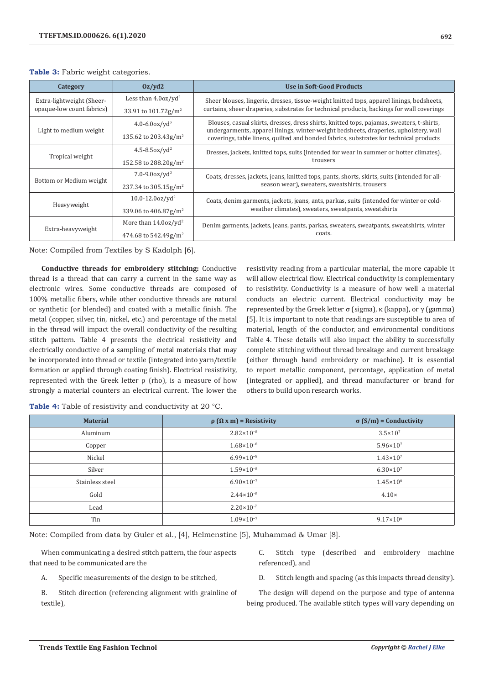### **Table 3:** Fabric weight categories.

| 0z/yd2<br>Category        |                                     | Use in Soft-Good Products                                                                                                                                                      |  |  |  |  |  |
|---------------------------|-------------------------------------|--------------------------------------------------------------------------------------------------------------------------------------------------------------------------------|--|--|--|--|--|
| Extra-lightweight (Sheer- | Less than $4.0oz/yd^2$              | Sheer blouses, lingerie, dresses, tissue-weight knitted tops, apparel linings, bedsheets,                                                                                      |  |  |  |  |  |
| opaque-low count fabrics) | 33.91 to $101.72$ g/m <sup>2</sup>  | curtains, sheer draperies, substrates for technical products, backings for wall coverings                                                                                      |  |  |  |  |  |
|                           | $4.0 - 6.00z/vd^2$                  | Blouses, casual skirts, dresses, dress shirts, knitted tops, pajamas, sweaters, t-shirts,                                                                                      |  |  |  |  |  |
| Light to medium weight    | 135.62 to 203.43g/m <sup>2</sup>    | undergarments, apparel linings, winter-weight bedsheets, draperies, upholstery, wall<br>coverings, table linens, quilted and bonded fabrics, substrates for technical products |  |  |  |  |  |
| Tropical weight           | $4.5 - 8.5$ oz/yd <sup>2</sup>      | Dresses, jackets, knitted tops, suits (intended for wear in summer or hotter climates),                                                                                        |  |  |  |  |  |
|                           | 152.58 to 288.20g/m <sup>2</sup>    | trousers                                                                                                                                                                       |  |  |  |  |  |
| Bottom or Medium weight   | $7.0 - 9.00z/vd^2$                  | Coats, dresses, jackets, jeans, knitted tops, pants, shorts, skirts, suits (intended for all-                                                                                  |  |  |  |  |  |
|                           | 237.34 to $305.15$ g/m <sup>2</sup> | season wear), sweaters, sweatshirts, trousers                                                                                                                                  |  |  |  |  |  |
| Heavyweight               | $10.0 - 12.0$ oz/yd <sup>2</sup>    | Coats, denim garments, jackets, jeans, ants, parkas, suits (intended for winter or cold-                                                                                       |  |  |  |  |  |
|                           | 339.06 to $406.87$ g/m <sup>2</sup> | weather climates), sweaters, sweatpants, sweatshirts                                                                                                                           |  |  |  |  |  |
| Extra-heavyweight         | More than $14.0$ oz/yd <sup>2</sup> | Denim garments, jackets, jeans, pants, parkas, sweaters, sweatpants, sweatshirts, winter                                                                                       |  |  |  |  |  |
|                           | 474.68 to 542.49g/m <sup>2</sup>    | coats.                                                                                                                                                                         |  |  |  |  |  |

Note: Compiled from Textiles by S Kadolph [6].

**Conductive threads for embroidery stitching:** Conductive thread is a thread that can carry a current in the same way as electronic wires. Some conductive threads are composed of 100% metallic fibers, while other conductive threads are natural or synthetic (or blended) and coated with a metallic finish. The metal (copper, silver, tin, nickel, etc.) and percentage of the metal in the thread will impact the overall conductivity of the resulting stitch pattern. Table 4 presents the electrical resistivity and electrically conductive of a sampling of metal materials that may be incorporated into thread or textile (integrated into yarn/textile formation or applied through coating finish). Electrical resistivity, represented with the Greek letter  $ρ$  (rho), is a measure of how strongly a material counters an electrical current. The lower the

resistivity reading from a particular material, the more capable it will allow electrical flow. Electrical conductivity is complementary to resistivity. Conductivity is a measure of how well a material conducts an electric current. Electrical conductivity may be represented by the Greek letter σ (sigma), κ (kappa), or γ (gamma) [5]. It is important to note that readings are susceptible to area of material, length of the conductor, and environmental conditions Table 4. These details will also impact the ability to successfully complete stitching without thread breakage and current breakage (either through hand embroidery or machine). It is essential to report metallic component, percentage, application of metal (integrated or applied), and thread manufacturer or brand for others to build upon research works.

**Table 4:** Table of resistivity and conductivity at 20 °C.

| <b>Material</b> | $\rho$ ( $\Omega$ x m) = Resistivity | $\sigma$ (S/m) = Conductivity |  |  |
|-----------------|--------------------------------------|-------------------------------|--|--|
| Aluminum        | $2.82 \times 10^{-8}$                | $3.5 \times 10^{7}$           |  |  |
| Copper          | $1.68 \times 10^{-8}$                | $5.96 \times 10^{7}$          |  |  |
| Nickel          | $6.99 \times 10^{-8}$                | $1.43 \times 10^{7}$          |  |  |
| Silver          | $1.59 \times 10^{-8}$                | $6.30\times10^{7}$            |  |  |
| Stainless steel | $6.90 \times 10^{-7}$                | $1.45 \times 10^{6}$          |  |  |
| Gold            | $2.44 \times 10^{-8}$                | $4.10\times$                  |  |  |
| Lead            | $2.20 \times 10^{-7}$                |                               |  |  |
| Tin             | $1.09 \times 10^{-7}$                | $9.17 \times 10^6$            |  |  |

Note: Compiled from data by Guler et al., [4], Helmenstine [5], Muhammad & Umar [8].

When communicating a desired stitch pattern, the four aspects that need to be communicated are the

A. Specific measurements of the design to be stitched,

B. Stitch direction (referencing alignment with grainline of textile),

C. Stitch type (described and embroidery machine referenced), and

D. Stitch length and spacing (as this impacts thread density).

The design will depend on the purpose and type of antenna being produced. The available stitch types will vary depending on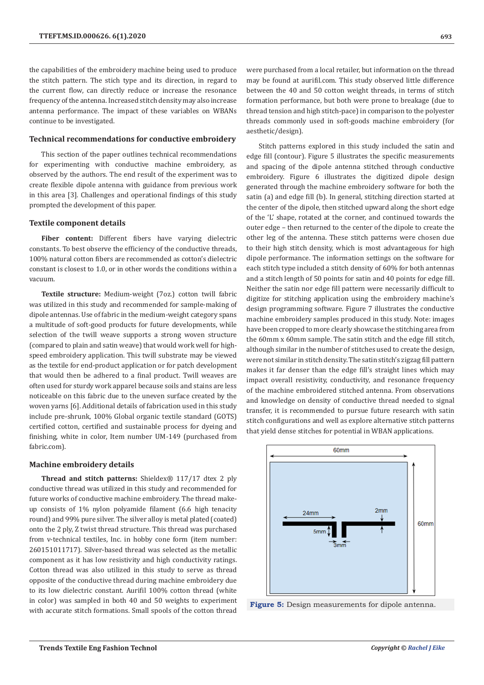the capabilities of the embroidery machine being used to produce the stitch pattern. The stich type and its direction, in regard to the current flow, can directly reduce or increase the resonance frequency of the antenna. Increased stitch density may also increase antenna performance. The impact of these variables on WBANs continue to be investigated.

#### **Technical recommendations for conductive embroidery**

This section of the paper outlines technical recommendations for experimenting with conductive machine embroidery, as observed by the authors. The end result of the experiment was to create flexible dipole antenna with guidance from previous work in this area [3]. Challenges and operational findings of this study prompted the development of this paper.

#### **Textile component details**

**Fiber content:** Different fibers have varying dielectric constants. To best observe the efficiency of the conductive threads, 100% natural cotton fibers are recommended as cotton's dielectric constant is closest to 1.0, or in other words the conditions within a vacuum.

**Textile structure:** Medium-weight (7oz.) cotton twill fabric was utilized in this study and recommended for sample-making of dipole antennas. Use of fabric in the medium-weight category spans a multitude of soft-good products for future developments, while selection of the twill weave supports a strong woven structure (compared to plain and satin weave) that would work well for highspeed embroidery application. This twill substrate may be viewed as the textile for end-product application or for patch development that would then be adhered to a final product. Twill weaves are often used for sturdy work apparel because soils and stains are less noticeable on this fabric due to the uneven surface created by the woven yarns [6]. Additional details of fabrication used in this study include pre-shrunk, 100% Global organic textile standard (GOTS) certified cotton, certified and sustainable process for dyeing and finishing, white in color, Item number UM-149 (purchased from fabric.com).

#### **Machine embroidery details**

**Thread and stitch patterns:** Shieldex® 117/17 dtex 2 ply conductive thread was utilized in this study and recommended for future works of conductive machine embroidery. The thread makeup consists of 1% nylon polyamide filament (6.6 high tenacity round) and 99% pure silver. The silver alloy is metal plated (coated) onto the 2 ply, Z twist thread structure. This thread was purchased from v-technical textiles, Inc. in hobby cone form (item number: 260151011717). Silver-based thread was selected as the metallic component as it has low resistivity and high conductivity ratings. Cotton thread was also utilized in this study to serve as thread opposite of the conductive thread during machine embroidery due to its low dielectric constant. Aurifil 100% cotton thread (white in color) was sampled in both 40 and 50 weights to experiment with accurate stitch formations. Small spools of the cotton thread were purchased from a local retailer, but information on the thread may be found at aurifil.com. This study observed little difference between the 40 and 50 cotton weight threads, in terms of stitch formation performance, but both were prone to breakage (due to thread tension and high stitch-pace) in comparison to the polyester threads commonly used in soft-goods machine embroidery (for aesthetic/design).

Stitch patterns explored in this study included the satin and edge fill (contour). Figure 5 illustrates the specific measurements and spacing of the dipole antenna stitched through conductive embroidery. Figure 6 illustrates the digitized dipole design generated through the machine embroidery software for both the satin (a) and edge fill (b). In general, stitching direction started at the center of the dipole, then stitched upward along the short edge of the 'L' shape, rotated at the corner, and continued towards the outer edge – then returned to the center of the dipole to create the other leg of the antenna. These stitch patterns were chosen due to their high stitch density, which is most advantageous for high dipole performance. The information settings on the software for each stitch type included a stitch density of 60% for both antennas and a stitch length of 50 points for satin and 40 points for edge fill. Neither the satin nor edge fill pattern were necessarily difficult to digitize for stitching application using the embroidery machine's design programming software. Figure 7 illustrates the conductive machine embroidery samples produced in this study. Note: images have been cropped to more clearly showcase the stitching area from the 60mm x 60mm sample. The satin stitch and the edge fill stitch, although similar in the number of stitches used to create the design, were not similar in stitch density. The satin stitch's zigzag fill pattern makes it far denser than the edge fill's straight lines which may impact overall resistivity, conductivity, and resonance frequency of the machine embroidered stitched antenna. From observations and knowledge on density of conductive thread needed to signal transfer, it is recommended to pursue future research with satin stitch configurations and well as explore alternative stitch patterns that yield dense stitches for potential in WBAN applications.



**Figure 5:** Design measurements for dipole antenna.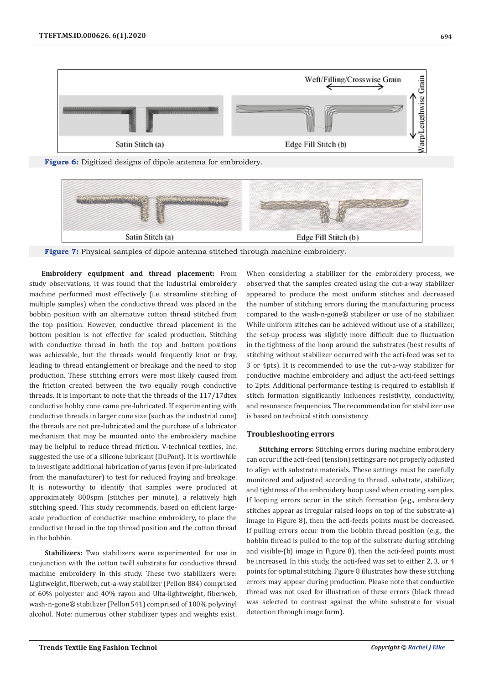





**Figure 7:** Physical samples of dipole antenna stitched through machine embroidery.

**Embroidery equipment and thread placement:** From study observations, it was found that the industrial embroidery machine performed most effectively (i.e. streamline stitching of multiple samples) when the conductive thread was placed in the bobbin position with an alternative cotton thread stitched from the top position. However, conductive thread placement in the bottom position is not effective for scaled production. Stitching with conductive thread in both the top and bottom positions was achievable, but the threads would frequently knot or fray, leading to thread entanglement or breakage and the need to stop production. These stitching errors were most likely caused from the friction created between the two equally rough conductive threads. It is important to note that the threads of the 117/17dtex conductive hobby cone came pre-lubricated. If experimenting with conductive threads in larger cone size (such as the industrial cone) the threads are not pre-lubricated and the purchase of a lubricator mechanism that may be mounted onto the embroidery machine may be helpful to reduce thread friction. V-technical textiles, Inc. suggested the use of a silicone lubricant (DuPont). It is worthwhile to investigate additional lubrication of yarns (even if pre-lubricated from the manufacturer) to test for reduced fraying and breakage. It is noteworthy to identify that samples were produced at approximately 800spm (stitches per minute), a relatively high stitching speed. This study recommends, based on efficient largescale production of conductive machine embroidery, to place the conductive thread in the top thread position and the cotton thread in the bobbin.

**Stabilizers:** Two stabilizers were experimented for use in conjunction with the cotton twill substrate for conductive thread machine embroidery in this study. These two stabilizers were: Lightweight, fiberweb, cut-a-way stabilizer (Pellon 884) comprised of 60% polyester and 40% rayon and Ulta-lightweight, fiberweb, wash-n-gone® stabilizer (Pellon 541) comprised of 100% polyvinyl alcohol. Note: numerous other stabilizer types and weights exist.

When considering a stabilizer for the embroidery process, we observed that the samples created using the cut-a-way stabilizer appeared to produce the most uniform stitches and decreased the number of stitching errors during the manufacturing process compared to the wash-n-gone® stabilizer or use of no stabilizer. While uniform stitches can be achieved without use of a stabilizer, the set-up process was slightly more difficult due to fluctuation in the tightness of the hoop around the substrates (best results of stitching without stabilizer occurred with the acti-feed was set to 3 or 4pts). It is recommended to use the cut-a-way stabilizer for conductive machine embroidery and adjust the acti-feed settings to 2pts. Additional performance testing is required to establish if stitch formation significantly influences resistivity, conductivity, and resonance frequencies. The recommendation for stabilizer use is based on technical stitch consistency.

## **Troubleshooting errors**

**Stitching errors:** Stitching errors during machine embroidery can occur if the acti-feed (tension) settings are not properly adjusted to align with substrate materials. These settings must be carefully monitored and adjusted according to thread, substrate, stabilizer, and tightness of the embroidery hoop used when creating samples. If looping errors occur in the stitch formation (e.g., embroidery stitches appear as irregular raised loops on top of the substrate-a) image in Figure 8), then the acti-feeds points must be decreased. If pulling errors occur from the bobbin thread position (e.g., the bobbin thread is pulled to the top of the substrate during stitching and visible-(b) image in Figure 8), then the acti-feed points must be increased. In this study, the acti-feed was set to either 2, 3, or 4 points for optimal stitching. Figure 8 illustrates how these stitching errors may appear during production. Please note that conductive thread was not used for illustration of these errors (black thread was selected to contrast against the white substrate for visual detection through image form).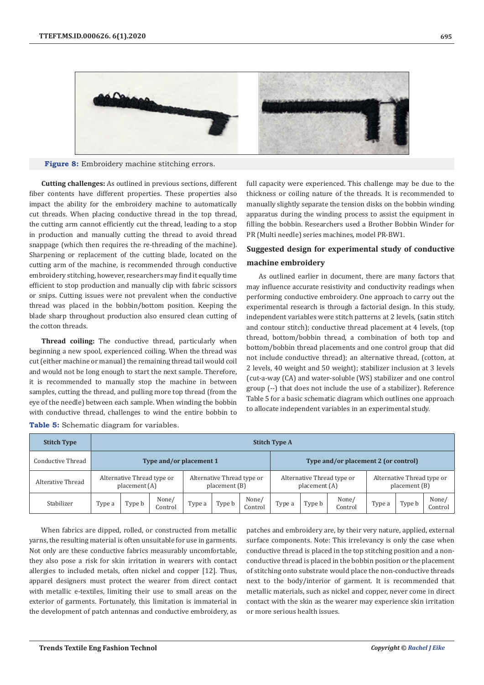

**Figure 8:** Embroidery machine stitching errors.

**Cutting challenges:** As outlined in previous sections, different fiber contents have different properties. These properties also impact the ability for the embroidery machine to automatically cut threads. When placing conductive thread in the top thread, the cutting arm cannot efficiently cut the thread, leading to a stop in production and manually cutting the thread to avoid thread snappage (which then requires the re-threading of the machine). Sharpening or replacement of the cutting blade, located on the cutting arm of the machine, is recommended through conductive embroidery stitching, however, researchers may find it equally time efficient to stop production and manually clip with fabric scissors or snips. Cutting issues were not prevalent when the conductive thread was placed in the bobbin/bottom position. Keeping the blade sharp throughout production also ensured clean cutting of the cotton threads.

**Thread coiling:** The conductive thread, particularly when beginning a new spool, experienced coiling. When the thread was cut (either machine or manual) the remaining thread tail would coil and would not be long enough to start the next sample. Therefore, it is recommended to manually stop the machine in between samples, cutting the thread, and pulling more top thread (from the eye of the needle) between each sample. When winding the bobbin with conductive thread, challenges to wind the entire bobbin to

full capacity were experienced. This challenge may be due to the thickness or coiling nature of the threads. It is recommended to manually slightly separate the tension disks on the bobbin winding apparatus during the winding process to assist the equipment in filling the bobbin. Researchers used a Brother Bobbin Winder for PR (Multi needle) series machines, model PR-BW1.

# **Suggested design for experimental study of conductive machine embroidery**

As outlined earlier in document, there are many factors that may influence accurate resistivity and conductivity readings when performing conductive embroidery. One approach to carry out the experimental research is through a factorial design. In this study, independent variables were stitch patterns at 2 levels, (satin stitch and contour stitch); conductive thread placement at 4 levels, (top thread, bottom/bobbin thread, a combination of both top and bottom/bobbin thread placements and one control group that did not include conductive thread); an alternative thread, (cotton, at 2 levels, 40 weight and 50 weight); stabilizer inclusion at 3 levels (cut-a-way (CA) and water-soluble (WS) stabilizer and one control group (--) that does not include the use of a stabilizer). Reference Table 5 for a basic schematic diagram which outlines one approach to allocate independent variables in an experimental study.

| <b>Stitch Type</b> | <b>Stitch Type A</b>                        |        |                                             |        |        |                                             |                                      |        |                                             |        |        |                  |
|--------------------|---------------------------------------------|--------|---------------------------------------------|--------|--------|---------------------------------------------|--------------------------------------|--------|---------------------------------------------|--------|--------|------------------|
| Conductive Thread  | Type and/or placement 1                     |        |                                             |        |        |                                             | Type and/or placement 2 (or control) |        |                                             |        |        |                  |
| Alterative Thread  | Alternative Thread type or<br>placement (A) |        | Alternative Thread type or<br>placement (B) |        |        | Alternative Thread type or<br>placement (A) |                                      |        | Alternative Thread type or<br>placement (B) |        |        |                  |
| Stabilizer         | Type a                                      | Type b | None/<br>Control                            | Type a | Type b | None/<br>Control                            | Type a                               | Type b | None/<br>Control                            | Type a | Type b | None/<br>Control |

**Table 5:** Schematic diagram for variables.

When fabrics are dipped, rolled, or constructed from metallic yarns, the resulting material is often unsuitable for use in garments. Not only are these conductive fabrics measurably uncomfortable, they also pose a risk for skin irritation in wearers with contact allergies to included metals, often nickel and copper [12]. Thus, apparel designers must protect the wearer from direct contact with metallic e-textiles, limiting their use to small areas on the exterior of garments. Fortunately, this limitation is immaterial in the development of patch antennas and conductive embroidery, as

patches and embroidery are, by their very nature, applied, external surface components. Note: This irrelevancy is only the case when conductive thread is placed in the top stitching position and a nonconductive thread is placed in the bobbin position or the placement of stitching onto substrate would place the non-conductive threads next to the body/interior of garment. It is recommended that metallic materials, such as nickel and copper, never come in direct contact with the skin as the wearer may experience skin irritation or more serious health issues.